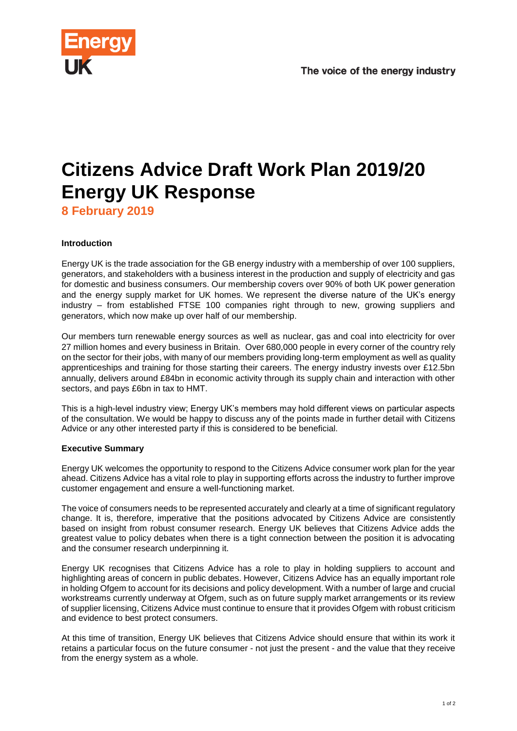

# **Citizens Advice Draft Work Plan 2019/20 Energy UK Response**

**8 February 2019**

## **Introduction**

Energy UK is the trade association for the GB energy industry with a membership of over 100 suppliers, generators, and stakeholders with a business interest in the production and supply of electricity and gas for domestic and business consumers. Our membership covers over 90% of both UK power generation and the energy supply market for UK homes. We represent the diverse nature of the UK's energy industry – from established FTSE 100 companies right through to new, growing suppliers and generators, which now make up over half of our membership.

Our members turn renewable energy sources as well as nuclear, gas and coal into electricity for over 27 million homes and every business in Britain. Over 680,000 people in every corner of the country rely on the sector for their jobs, with many of our members providing long-term employment as well as quality apprenticeships and training for those starting their careers. The energy industry invests over £12.5bn annually, delivers around £84bn in economic activity through its supply chain and interaction with other sectors, and pays £6bn in tax to HMT.

This is a high-level industry view; Energy UK's members may hold different views on particular aspects of the consultation. We would be happy to discuss any of the points made in further detail with Citizens Advice or any other interested party if this is considered to be beneficial.

## **Executive Summary**

Energy UK welcomes the opportunity to respond to the Citizens Advice consumer work plan for the year ahead. Citizens Advice has a vital role to play in supporting efforts across the industry to further improve customer engagement and ensure a well-functioning market.

The voice of consumers needs to be represented accurately and clearly at a time of significant regulatory change. It is, therefore, imperative that the positions advocated by Citizens Advice are consistently based on insight from robust consumer research. Energy UK believes that Citizens Advice adds the greatest value to policy debates when there is a tight connection between the position it is advocating and the consumer research underpinning it.

Energy UK recognises that Citizens Advice has a role to play in holding suppliers to account and highlighting areas of concern in public debates. However, Citizens Advice has an equally important role in holding Ofgem to account for its decisions and policy development. With a number of large and crucial workstreams currently underway at Ofgem, such as on future supply market arrangements or its review of supplier licensing, Citizens Advice must continue to ensure that it provides Ofgem with robust criticism and evidence to best protect consumers.

At this time of transition, Energy UK believes that Citizens Advice should ensure that within its work it retains a particular focus on the future consumer - not just the present - and the value that they receive from the energy system as a whole.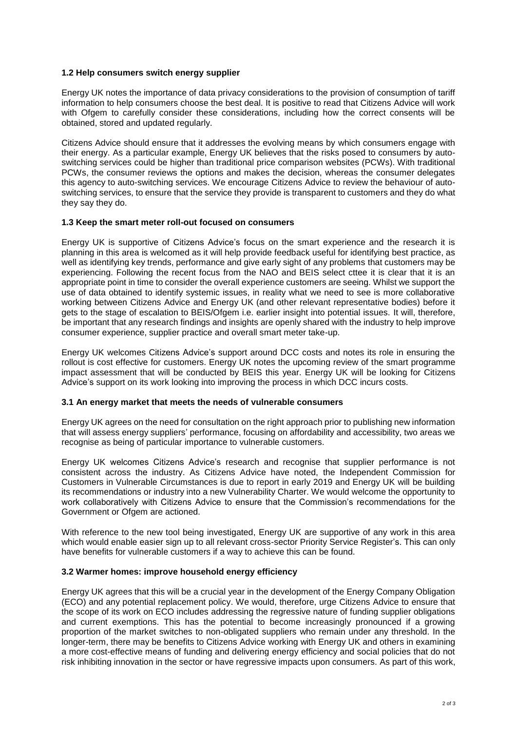### **1.2 Help consumers switch energy supplier**

Energy UK notes the importance of data privacy considerations to the provision of consumption of tariff information to help consumers choose the best deal. It is positive to read that Citizens Advice will work with Ofgem to carefully consider these considerations, including how the correct consents will be obtained, stored and updated regularly.

Citizens Advice should ensure that it addresses the evolving means by which consumers engage with their energy. As a particular example, Energy UK believes that the risks posed to consumers by autoswitching services could be higher than traditional price comparison websites (PCWs). With traditional PCWs, the consumer reviews the options and makes the decision, whereas the consumer delegates this agency to auto-switching services. We encourage Citizens Advice to review the behaviour of autoswitching services, to ensure that the service they provide is transparent to customers and they do what they say they do.

#### **1.3 Keep the smart meter roll-out focused on consumers**

Energy UK is supportive of Citizens Advice's focus on the smart experience and the research it is planning in this area is welcomed as it will help provide feedback useful for identifying best practice, as well as identifying key trends, performance and give early sight of any problems that customers may be experiencing. Following the recent focus from the NAO and BEIS select cttee it is clear that it is an appropriate point in time to consider the overall experience customers are seeing. Whilst we support the use of data obtained to identify systemic issues, in reality what we need to see is more collaborative working between Citizens Advice and Energy UK (and other relevant representative bodies) before it gets to the stage of escalation to BEIS/Ofgem i.e. earlier insight into potential issues. It will, therefore, be important that any research findings and insights are openly shared with the industry to help improve consumer experience, supplier practice and overall smart meter take-up.

Energy UK welcomes Citizens Advice's support around DCC costs and notes its role in ensuring the rollout is cost effective for customers. Energy UK notes the upcoming review of the smart programme impact assessment that will be conducted by BEIS this year. Energy UK will be looking for Citizens Advice's support on its work looking into improving the process in which DCC incurs costs.

## **3.1 An energy market that meets the needs of vulnerable consumers**

Energy UK agrees on the need for consultation on the right approach prior to publishing new information that will assess energy suppliers' performance, focusing on affordability and accessibility, two areas we recognise as being of particular importance to vulnerable customers.

Energy UK welcomes Citizens Advice's research and recognise that supplier performance is not consistent across the industry. As Citizens Advice have noted, the Independent Commission for Customers in Vulnerable Circumstances is due to report in early 2019 and Energy UK will be building its recommendations or industry into a new Vulnerability Charter. We would welcome the opportunity to work collaboratively with Citizens Advice to ensure that the Commission's recommendations for the Government or Ofgem are actioned.

With reference to the new tool being investigated, Energy UK are supportive of any work in this area which would enable easier sign up to all relevant cross-sector Priority Service Register's. This can only have benefits for vulnerable customers if a way to achieve this can be found.

## **3.2 Warmer homes: improve household energy efficiency**

Energy UK agrees that this will be a crucial year in the development of the Energy Company Obligation (ECO) and any potential replacement policy. We would, therefore, urge Citizens Advice to ensure that the scope of its work on ECO includes addressing the regressive nature of funding supplier obligations and current exemptions. This has the potential to become increasingly pronounced if a growing proportion of the market switches to non-obligated suppliers who remain under any threshold. In the longer-term, there may be benefits to Citizens Advice working with Energy UK and others in examining a more cost-effective means of funding and delivering energy efficiency and social policies that do not risk inhibiting innovation in the sector or have regressive impacts upon consumers. As part of this work,